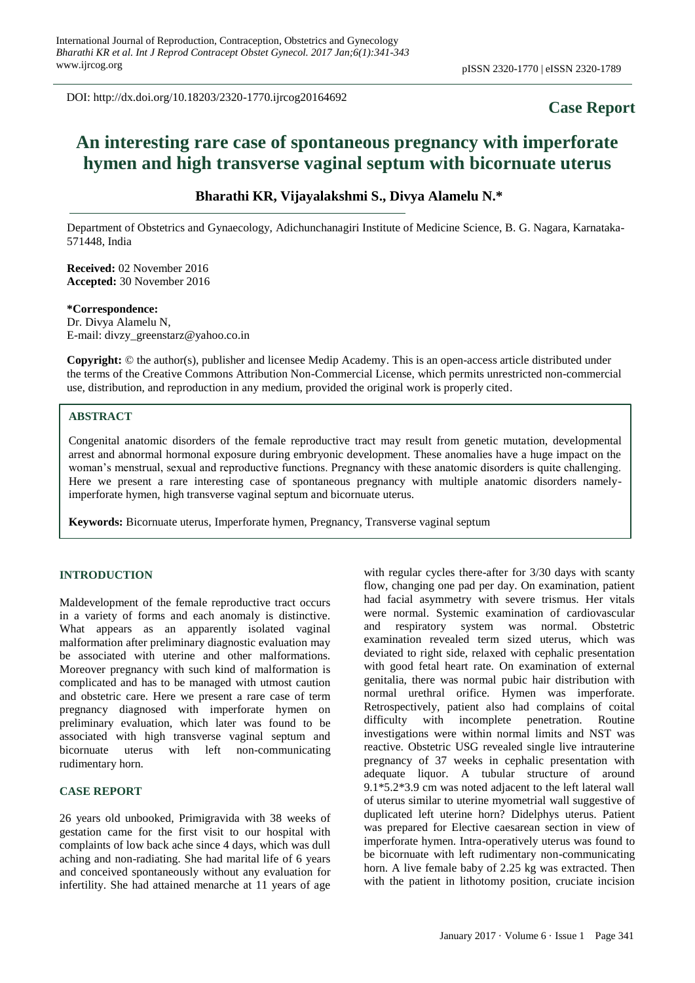DOI: http://dx.doi.org/10.18203/2320-1770.ijrcog20164692

# **Case Report**

# **An interesting rare case of spontaneous pregnancy with imperforate hymen and high transverse vaginal septum with bicornuate uterus**

## **Bharathi KR, Vijayalakshmi S., Divya Alamelu N.\***

Department of Obstetrics and Gynaecology, Adichunchanagiri Institute of Medicine Science, B. G. Nagara, Karnataka-571448, India

**Received:** 02 November 2016 **Accepted:** 30 November 2016

#### **\*Correspondence:**

Dr. Divya Alamelu N, E-mail: divzy\_greenstarz@yahoo.co.in

**Copyright:** © the author(s), publisher and licensee Medip Academy. This is an open-access article distributed under the terms of the Creative Commons Attribution Non-Commercial License, which permits unrestricted non-commercial use, distribution, and reproduction in any medium, provided the original work is properly cited.

## **ABSTRACT**

Congenital anatomic disorders of the female reproductive tract may result from genetic mutation, developmental arrest and abnormal hormonal exposure during embryonic development. These anomalies have a huge impact on the woman's menstrual, sexual and reproductive functions. Pregnancy with these anatomic disorders is quite challenging. Here we present a rare interesting case of spontaneous pregnancy with multiple anatomic disorders namelyimperforate hymen, high transverse vaginal septum and bicornuate uterus.

**Keywords:** Bicornuate uterus, Imperforate hymen, Pregnancy, Transverse vaginal septum

#### **INTRODUCTION**

Maldevelopment of the female reproductive tract occurs in a variety of forms and each anomaly is distinctive. What appears as an apparently isolated vaginal malformation after preliminary diagnostic evaluation may be associated with uterine and other malformations. Moreover pregnancy with such kind of malformation is complicated and has to be managed with utmost caution and obstetric care. Here we present a rare case of term pregnancy diagnosed with imperforate hymen on preliminary evaluation, which later was found to be associated with high transverse vaginal septum and bicornuate uterus with left non-communicating rudimentary horn.

### **CASE REPORT**

26 years old unbooked, Primigravida with 38 weeks of gestation came for the first visit to our hospital with complaints of low back ache since 4 days, which was dull aching and non-radiating. She had marital life of 6 years and conceived spontaneously without any evaluation for infertility. She had attained menarche at 11 years of age

with regular cycles there-after for 3/30 days with scanty flow, changing one pad per day. On examination, patient had facial asymmetry with severe trismus. Her vitals were normal. Systemic examination of cardiovascular and respiratory system was normal. Obstetric examination revealed term sized uterus, which was deviated to right side, relaxed with cephalic presentation with good fetal heart rate. On examination of external genitalia, there was normal pubic hair distribution with normal urethral orifice. Hymen was imperforate. Retrospectively, patient also had complains of coital difficulty with incomplete penetration. Routine investigations were within normal limits and NST was reactive. Obstetric USG revealed single live intrauterine pregnancy of 37 weeks in cephalic presentation with adequate liquor. A tubular structure of around 9.1\*5.2\*3.9 cm was noted adjacent to the left lateral wall of uterus similar to uterine myometrial wall suggestive of duplicated left uterine horn? Didelphys uterus. Patient was prepared for Elective caesarean section in view of imperforate hymen. Intra-operatively uterus was found to be bicornuate with left rudimentary non-communicating horn. A live female baby of 2.25 kg was extracted. Then with the patient in lithotomy position, cruciate incision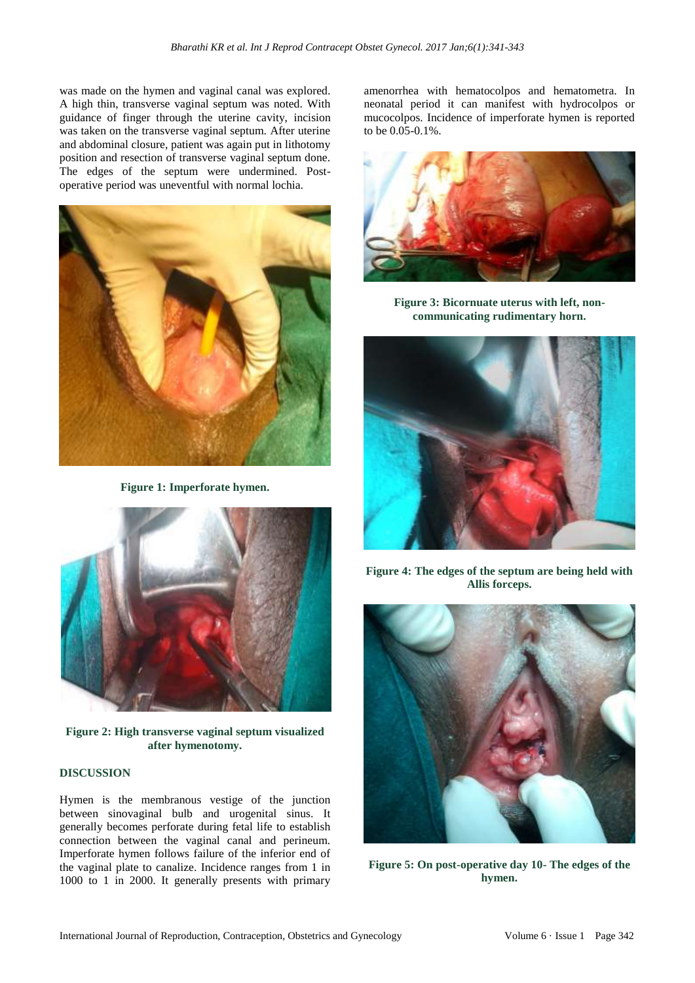was made on the hymen and vaginal canal was explored. A high thin, transverse vaginal septum was noted. With guidance of finger through the uterine cavity, incision was taken on the transverse vaginal septum. After uterine and abdominal closure, patient was again put in lithotomy position and resection of transverse vaginal septum done. The edges of the septum were undermined. Postoperative period was uneventful with normal lochia.



**Figure 1: Imperforate hymen.**



**Figure 2: High transverse vaginal septum visualized after hymenotomy.**

#### **DISCUSSION**

Hymen is the membranous vestige of the junction between sinovaginal bulb and urogenital sinus. It generally becomes perforate during fetal life to establish connection between the vaginal canal and perineum. Imperforate hymen follows failure of the inferior end of the vaginal plate to canalize. Incidence ranges from 1 in 1000 to 1 in 2000. It generally presents with primary amenorrhea with hematocolpos and hematometra. In neonatal period it can manifest with hydrocolpos or mucocolpos. Incidence of imperforate hymen is reported to be 0.05-0.1%.



**Figure 3: Bicornuate uterus with left, noncommunicating rudimentary horn.**



**Figure 4: The edges of the septum are being held with Allis forceps.**



**Figure 5: On post-operative day 10- The edges of the hymen.**